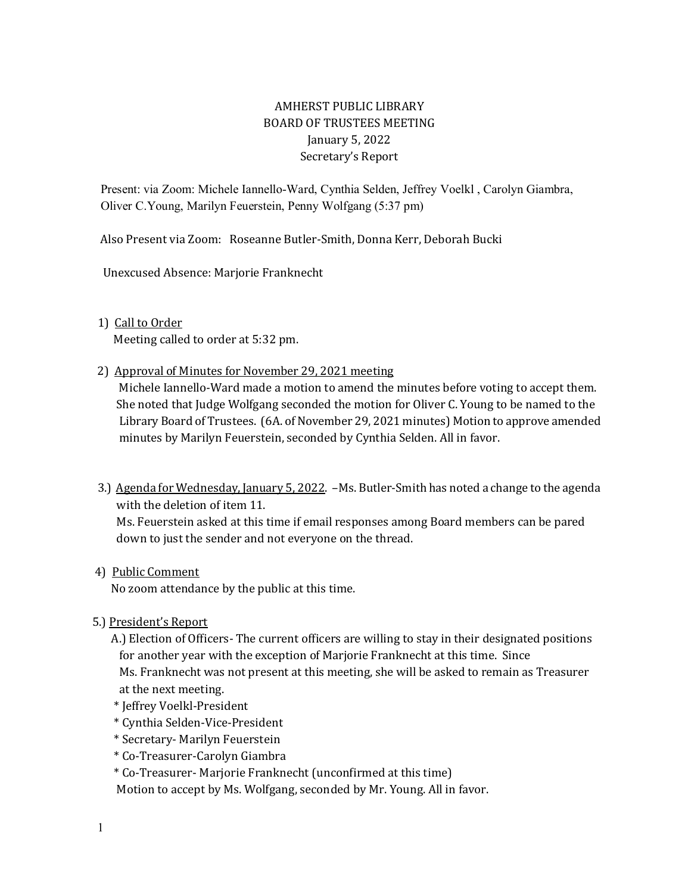# AMHERST PUBLIC LIBRARY BOARD OF TRUSTEES MEETING January 5, 2022 Secretary's Report

 Present: via Zoom: Michele Iannello-Ward, Cynthia Selden, Jeffrey Voelkl , Carolyn Giambra, Oliver C.Young, Marilyn Feuerstein, Penny Wolfgang (5:37 pm)

Also Present via Zoom: Roseanne Butler-Smith, Donna Kerr, Deborah Bucki

Unexcused Absence: Marjorie Franknecht

### 1) Call to Order

Meeting called to order at 5:32 pm.

2) Approval of Minutes for November 29, 2021 meeting

 Michele Iannello-Ward made a motion to amend the minutes before voting to accept them. She noted that Judge Wolfgang seconded the motion for Oliver C. Young to be named to the Library Board of Trustees. (6A. of November 29, 2021 minutes) Motion to approve amended minutes by Marilyn Feuerstein, seconded by Cynthia Selden. All in favor.

 3.) Agenda for Wednesday, January 5, 2022. –Ms. Butler-Smith has noted a change to the agenda with the deletion of item 11.

 Ms. Feuerstein asked at this time if email responses among Board members can be pared down to just the sender and not everyone on the thread.

4) Public Comment

No zoom attendance by the public at this time.

5.) President's Report

 A.) Election of Officers- The current officers are willing to stay in their designated positions for another year with the exception of Marjorie Franknecht at this time. Since Ms. Franknecht was not present at this meeting, she will be asked to remain as Treasurer at the next meeting.

- \* Jeffrey Voelkl-President
- \* Cynthia Selden-Vice-President
- \* Secretary- Marilyn Feuerstein
- \* Co-Treasurer-Carolyn Giambra
- \* Co-Treasurer- Marjorie Franknecht (unconfirmed at this time)

Motion to accept by Ms. Wolfgang, seconded by Mr. Young. All in favor.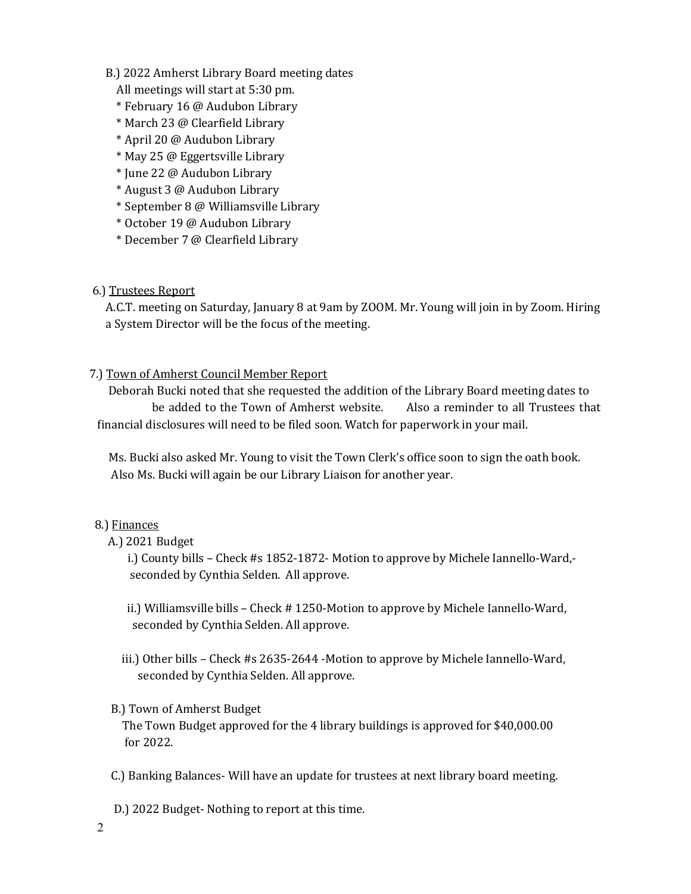#### B.) 2022 Amherst Library Board meeting dates

- All meetings will start at 5:30 pm.
- \* February 16 @ Audubon Library
- \* March 23 @ Clearfield Library
- \* April 20 @ Audubon Library
- \* May 25 @ Eggertsville Library
- \* June 22 @ Audubon Library
- \* August 3 @ Audubon Library
- \* September 8 @ Williamsville Library
- \* October 19 @ Audubon Library
- \* December 7 @ Clearfield Library

### 6.) Trustees Report

 A.C.T. meeting on Saturday, January 8 at 9am by ZOOM. Mr. Young will join in by Zoom. Hiring a System Director will be the focus of the meeting.

### 7.) Town of Amherst Council Member Report

 Deborah Bucki noted that she requested the addition of the Library Board meeting dates to be added to the Town of Amherst website. Also a reminder to all Trustees that financial disclosures will need to be filed soon. Watch for paperwork in your mail.

 Ms. Bucki also asked Mr. Young to visit the Town Clerk's office soon to sign the oath book. Also Ms. Bucki will again be our Library Liaison for another year.

### 8.) Finances

A.) 2021 Budget

 i.) County bills – Check #s 1852-1872- Motion to approve by Michele Iannello-Ward, seconded by Cynthia Selden. All approve.

 ii.) Williamsville bills – Check # 1250-Motion to approve by Michele Iannello-Ward, seconded by Cynthia Selden. All approve.

 iii.) Other bills – Check #s 2635-2644 -Motion to approve by Michele Iannello-Ward, seconded by Cynthia Selden. All approve.

### B.) Town of Amherst Budget

 The Town Budget approved for the 4 library buildings is approved for \$40,000.00 for 2022.

- C.) Banking Balances- Will have an update for trustees at next library board meeting.
- D.) 2022 Budget- Nothing to report at this time.